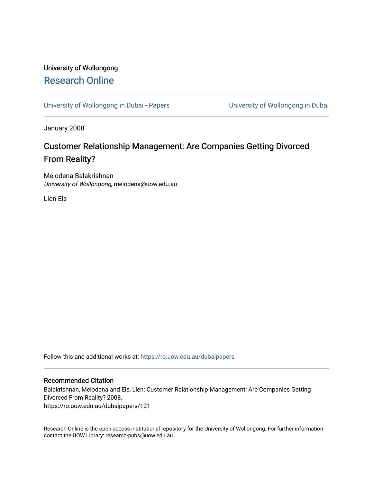# University of Wollongong [Research Online](https://ro.uow.edu.au/)

[University of Wollongong in Dubai - Papers](https://ro.uow.edu.au/dubaipapers) **University of Wollongong in Dubai** 

January 2008

# Customer Relationship Management: Are Companies Getting Divorced From Reality?

Melodena Balakrishnan University of Wollongong, melodena@uow.edu.au

Lien Els

Follow this and additional works at: [https://ro.uow.edu.au/dubaipapers](https://ro.uow.edu.au/dubaipapers?utm_source=ro.uow.edu.au%2Fdubaipapers%2F121&utm_medium=PDF&utm_campaign=PDFCoverPages) 

#### Recommended Citation

Balakrishnan, Melodena and Els, Lien: Customer Relationship Management: Are Companies Getting Divorced From Reality? 2008. https://ro.uow.edu.au/dubaipapers/121

Research Online is the open access institutional repository for the University of Wollongong. For further information contact the UOW Library: research-pubs@uow.edu.au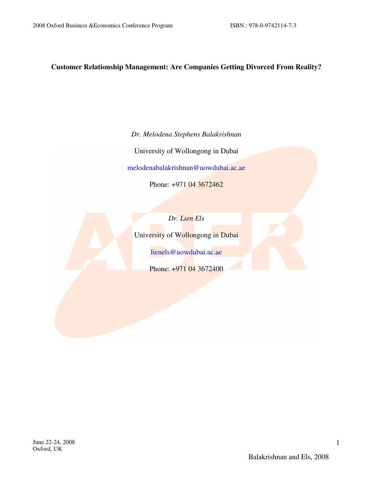# **Customer Relationship Management: Are Companies Getting Divorced From Reality?**

*Dr. Melodena Stephens Balakrishnan* 

University of Wollongong in Dubai

melodenabalakrishnan@uowdubai.ac.ae

Phone: +971 04 3672462

*Dr. Lien Els* 

University of Wollongong in Dubai

lienels@uowdubai.ac.ae

Phone: +971 04 3672400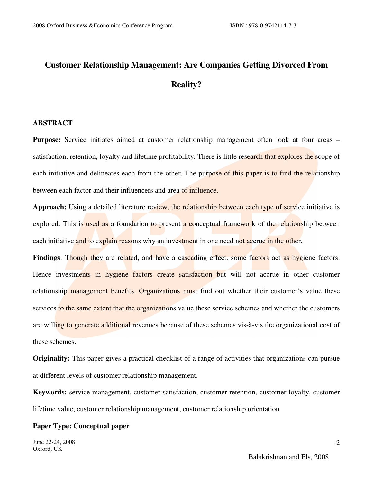# **Customer Relationship Management: Are Companies Getting Divorced From Reality?**

#### **ABSTRACT**

**Purpose:** Service initiates aimed at customer relationship management often look at four areas – satisfaction, retention, loyalty and lifetime profitability. There is little research that explores the scope of each initiative and delineates each from the other. The purpose of this paper is to find the relationship between each factor and their influencers and area of influence.

Approach: Using a detailed literature review, the relationship between each type of service initiative is explored. This is used as a foundation to present a conceptual framework of the relationship between each initiative and to explain reasons why an investment in one need not accrue in the other.

**Findings:** Though they are related, and have a cascading effect, some factors act as hygiene factors. Hence investments in hygiene factors create satisfaction but will not accrue in other customer relationship management benefits. Organizations must find out whether their customer's value these services to the same extent that the organizations value these service schemes and whether the customers are willing to generate additional revenues because of these schemes vis-à-vis the organizational cost of these schemes.

**Originality:** This paper gives a practical checklist of a range of activities that organizations can pursue at different levels of customer relationship management.

**Keywords:** service management, customer satisfaction, customer retention, customer loyalty, customer lifetime value, customer relationship management, customer relationship orientation

#### **Paper Type: Conceptual paper**

June 22-24, 2008 Oxford, UK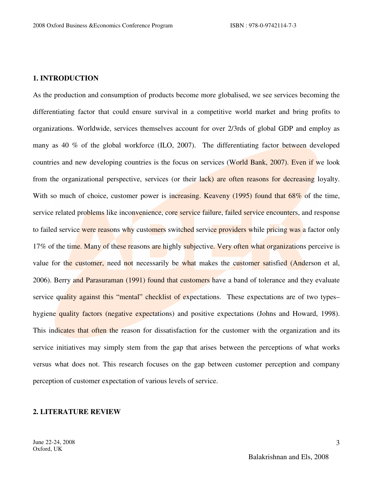## **1. INTRODUCTION**

As the production and consumption of products become more globalised, we see services becoming the differentiating factor that could ensure survival in a competitive world market and bring profits to organizations. Worldwide, services themselves account for over 2/3rds of global GDP and employ as many as 40 % of the global workforce (ILO, 2007). The differentiating factor between developed countries and new developing countries is the focus on services (World Bank, 2007). Even if we look from the organizational perspective, services (or their lack) are often reasons for decreasing loyalty. With so much of choice, customer power is increasing. Keaveny (1995) found that 68% of the time, service related problems like inconvenience, core service failure, failed service encounters, and response to failed service were reasons why customers switched service providers while pricing was a factor only 17% of the time. Many of these reasons are highly subjective. Very often what organizations perceive is value for the customer, need not necessarily be what makes the customer satisfied (Anderson et al, 2006). Berry and Parasuraman (1991) found that customers have a band of tolerance and they evaluate service quality against this "mental" checklist of expectations. These expectations are of two types– hygiene quality factors (negative expectations) and positive expectations (Johns and Howard, 1998). This indicates that often the reason for dissatisfaction for the customer with the organization and its service initiatives may simply stem from the gap that arises between the perceptions of what works versus what does not. This research focuses on the gap between customer perception and company perception of customer expectation of various levels of service.

#### **2. LITERATURE REVIEW**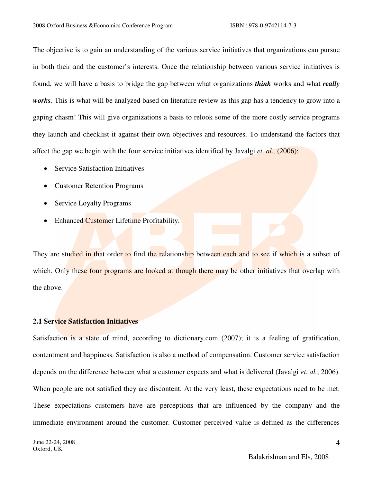The objective is to gain an understanding of the various service initiatives that organizations can pursue in both their and the customer's interests. Once the relationship between various service initiatives is found, we will have a basis to bridge the gap between what organizations *think* works and what *really*  works. This is what will be analyzed based on literature review as this gap has a tendency to grow into a gaping chasm! This will give organizations a basis to relook some of the more costly service programs they launch and checklist it against their own objectives and resources. To understand the factors that affect the gap we begin with the four service initiatives identified by Javalgi *et. al.,* (2006):

- Service Satisfaction Initiatives
- Customer Retention Programs
- Service Loyalty Programs
- Enhanced Customer Lifetime Profitability.

They are studied in that order to find the relationship between each and to see if which is a subset of which. Only these four programs are looked at though there may be other initiatives that overlap with the above.

# **2.1 Service Satisfaction Initiatives**

Satisfaction is a state of mind, according to dictionary.com (2007); it is a feeling of gratification, contentment and happiness. Satisfaction is also a method of compensation. Customer service satisfaction depends on the difference between what a customer expects and what is delivered (Javalgi *et. al.*, 2006). When people are not satisfied they are discontent. At the very least, these expectations need to be met. These expectations customers have are perceptions that are influenced by the company and the immediate environment around the customer. Customer perceived value is defined as the differences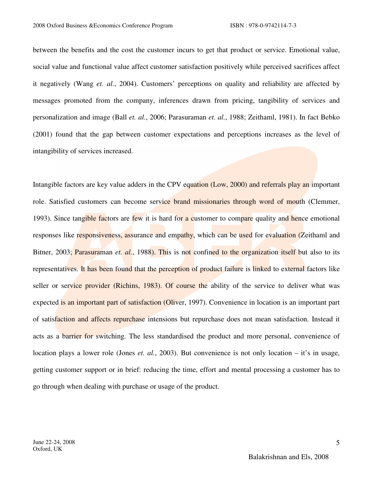between the benefits and the cost the customer incurs to get that product or service. Emotional value, social value and functional value affect customer satisfaction positively while perceived sacrifices affect it negatively (Wang *et. al.*, 2004). Customers' perceptions on quality and reliability are affected by messages promoted from the company, inferences drawn from pricing, tangibility of services and personalization and image (Ball *et. al.*, 2006; Parasuraman *et. al.*, 1988; Zeithaml, 1981). In fact Bebko (2001) found that the gap between customer expectations and perceptions increases as the level of intangibility of services increased.

Intangible factors are key value adders in the CPV equation (Low, 2000) and referrals play an important role. Satisfied customers can become service brand missionaries through word of mouth (Clemmer, 1993). Since tangible factors are few it is hard for a customer to compare quality and hence emotional responses like responsiveness, assurance and empathy, which can be used for evaluation (Zeithaml and Bitner, 2003; Parasuraman *et. al.*, 1988). This is not confined to the organization itself but also to its representatives. It has been found that the perception of product failure is linked to external factors like seller or service provider (Richins, 1983). Of course the ability of the service to deliver what was expected is an important part of satisfaction (Oliver, 1997). Convenience in location is an important part of satisfaction and affects repurchase intensions but repurchase does not mean satisfaction. Instead it acts as a barrier for switching. The less standardised the product and more personal, convenience of location plays a lower role (Jones *et. al.*, 2003). But convenience is not only location – it's in usage, getting customer support or in brief: reducing the time, effort and mental processing a customer has to go through when dealing with purchase or usage of the product.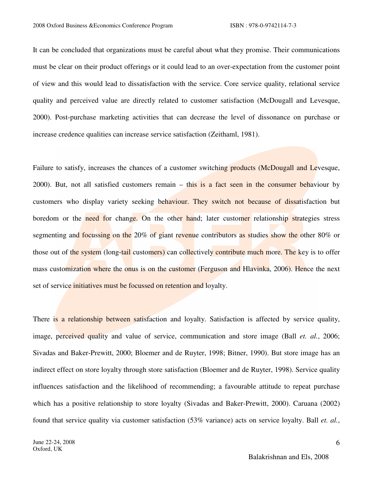It can be concluded that organizations must be careful about what they promise. Their communications must be clear on their product offerings or it could lead to an over-expectation from the customer point of view and this would lead to dissatisfaction with the service. Core service quality, relational service quality and perceived value are directly related to customer satisfaction (McDougall and Levesque, 2000). Post-purchase marketing activities that can decrease the level of dissonance on purchase or increase credence qualities can increase service satisfaction (Zeithaml, 1981).

Failure to satisfy, increases the chances of a customer switching products (McDougall and Levesque, 2000). But, not all satisfied customers remain – this is a fact seen in the consumer behaviour by customers who display variety seeking behaviour. They switch not because of dissatisfaction but boredom or the need for change. On the other hand; later customer relationship strategies stress segmenting and focussing on the 20% of giant revenue contributors as studies show the other 80% or those out of the system (long-tail customers) can collectively contribute much more. The key is to offer mass customization where the onus is on the customer (Ferguson and Hlavinka, 2006). Hence the next set of service *initiatives* must be focussed on retention and loyalty.

There is a relationship between satisfaction and loyalty. Satisfaction is affected by service quality, image, perceived quality and value of service, communication and store image (Ball *et. al.*, 2006; Sivadas and Baker-Prewitt, 2000; Bloemer and de Ruyter, 1998; Bitner, 1990). But store image has an indirect effect on store loyalty through store satisfaction (Bloemer and de Ruyter, 1998). Service quality influences satisfaction and the likelihood of recommending; a favourable attitude to repeat purchase which has a positive relationship to store loyalty (Sivadas and Baker-Prewitt, 2000). Caruana (2002) found that service quality via customer satisfaction (53% variance) acts on service loyalty. Ball *et. al.*,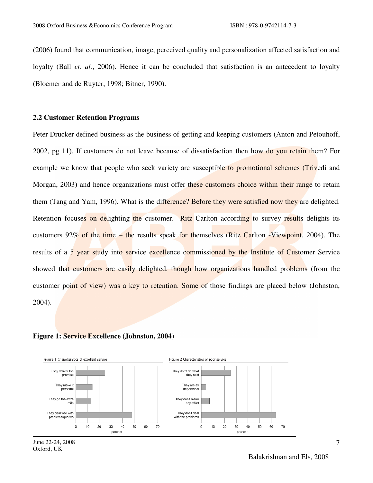(2006) found that communication, image, perceived quality and personalization affected satisfaction and loyalty (Ball *et. al.*, 2006). Hence it can be concluded that satisfaction is an antecedent to loyalty (Bloemer and de Ruyter, 1998; Bitner, 1990).

# **2.2 Customer Retention Programs**

Peter Drucker defined business as the business of getting and keeping customers (Anton and Petouhoff, 2002, pg 11). If customers do not leave because of dissatisfaction then how do you retain them? For example we know that people who seek variety are susceptible to promotional schemes (Trivedi and Morgan, 2003) and hence organizations must offer these customers choice within their range to retain them (Tang and Yam, 1996). What is the difference? Before they were satisfied now they are delighted. Retention focuses on delighting the customer. Ritz Carlton according to survey results delights its customers 92% of the time – the results speak for themselves (Ritz Carlton -Viewpoint, 2004). The results of a 5 year study into service excellence commissioned by the Institute of Customer Service showed that customers are easily delighted, though how organizations handled problems (from the customer point of view) was a key to retention. Some of those findings are placed below (Johnston, 2004).





June 22-24, 2008 Oxford, UK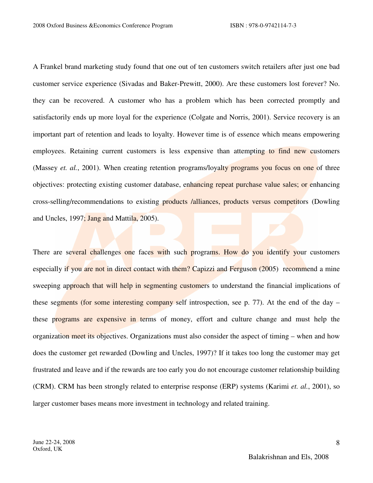A Frankel brand marketing study found that one out of ten customers switch retailers after just one bad customer service experience (Sivadas and Baker-Prewitt, 2000). Are these customers lost forever? No. they can be recovered. A customer who has a problem which has been corrected promptly and satisfactorily ends up more loyal for the experience (Colgate and Norris, 2001). Service recovery is an important part of retention and leads to loyalty. However time is of essence which means empowering employees. Retaining current customers is less expensive than attempting to find new customers (Massey *et. al.*, 2001). When creating retention programs/loyalty programs you focus on one of three objectives: protecting existing customer database, enhancing repeat purchase value sales; or enhancing cross-selling/recommendations to existing products /alliances, products versus competitors (Dowling and Uncles, 1997; Jang and Mattila, 2005).

There are several challenges one faces with such programs. How do you identify your customers especially if you are not in direct contact with them? Capizzi and Ferguson (2005) recommend a mine sweeping approach that will help in segmenting customers to understand the financial implications of these segments (for some interesting company self introspection, see p. 77). At the end of the day – these programs are expensive in terms of money, effort and culture change and must help the organization meet its objectives. Organizations must also consider the aspect of timing – when and how does the customer get rewarded (Dowling and Uncles, 1997)? If it takes too long the customer may get frustrated and leave and if the rewards are too early you do not encourage customer relationship building (CRM). CRM has been strongly related to enterprise response (ERP) systems (Karimi *et. al.*, 2001), so larger customer bases means more investment in technology and related training.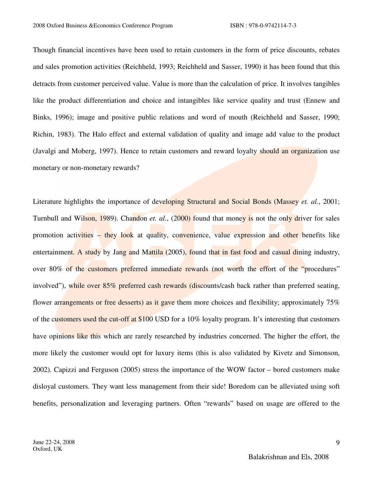Though financial incentives have been used to retain customers in the form of price discounts, rebates and sales promotion activities (Reichheld, 1993; Reichheld and Sasser, 1990) it has been found that this detracts from customer perceived value. Value is more than the calculation of price. It involves tangibles like the product differentiation and choice and intangibles like service quality and trust (Ennew and Binks, 1996); image and positive public relations and word of mouth (Reichheld and Sasser, 1990; Richin, 1983). The Halo effect and external validation of quality and image add value to the product (Javalgi and Moberg, 1997). Hence to retain customers and reward loyalty should an organization use monetary or non-monetary rewards?

Literature highlights the importance of developing Structural and Social Bonds (Massey *et. al.*, 2001; Turnbull and Wilson, 1989). Chandon *et. al.*, (2000) found that money is not the only driver for sales promotion activities – they look at quality, convenience, value expression and other benefits like entertainment. A study by Jang and Mattila (2005), found that in fast food and casual dining industry, over 80% of the customers preferred immediate rewards (not worth the effort of the "procedures" involved"), while over 85% preferred cash rewards (discounts/cash back rather than preferred seating, flower arrangements or free desserts) as it gave them more choices and flexibility; approximately 75% of the customers used the cut-off at \$100 USD for a 10% loyalty program. It's interesting that customers have opinions like this which are rarely researched by industries concerned. The higher the effort, the more likely the customer would opt for luxury items (this is also validated by Kivetz and Simonson, 2002). Capizzi and Ferguson (2005) stress the importance of the WOW factor – bored customers make disloyal customers. They want less management from their side! Boredom can be alleviated using soft benefits, personalization and leveraging partners. Often "rewards" based on usage are offered to the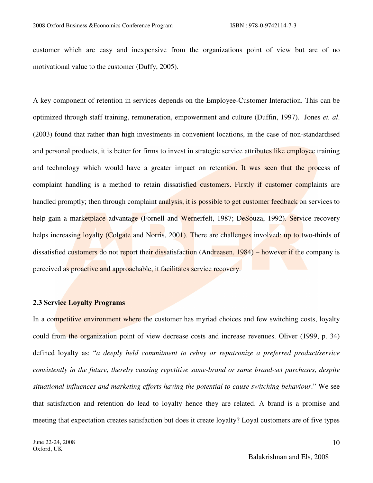customer which are easy and inexpensive from the organizations point of view but are of no motivational value to the customer (Duffy, 2005).

A key component of retention in services depends on the Employee-Customer Interaction. This can be optimized through staff training, remuneration, empowerment and culture (Duffin, 1997). Jones *et. al*. (2003) found that rather than high investments in convenient locations, in the case of non-standardised and personal products, it is better for firms to invest in strategic service attributes like employee training and technology which would have a greater impact on retention. It was seen that the process of complaint handling is a method to retain dissatisfied customers. Firstly if customer complaints are handled promptly; then through complaint analysis, it is possible to get customer feedback on services to help gain a marketplace advantage (Fornell and Wernerfelt, 1987; DeSouza, 1992). Service recovery helps increasing loyalty (Colgate and Norris, 2001). There are challenges involved: up to two-thirds of dissatisfied customers do not report their dissatisfaction (Andreasen, 1984) – however if the company is perceived as proactive and approachable, it facilitates service recovery.

# **2.3 Service Loyalty Programs**

In a competitive environment where the customer has myriad choices and few switching costs, loyalty could from the organization point of view decrease costs and increase revenues. Oliver (1999, p. 34) defined loyalty as: "*a deeply held commitment to rebuy or repatronize a preferred product/service consistently in the future, thereby causing repetitive same-brand or same brand-set purchases, despite situational influences and marketing efforts having the potential to cause switching behaviour*." We see that satisfaction and retention do lead to loyalty hence they are related. A brand is a promise and meeting that expectation creates satisfaction but does it create loyalty? Loyal customers are of five types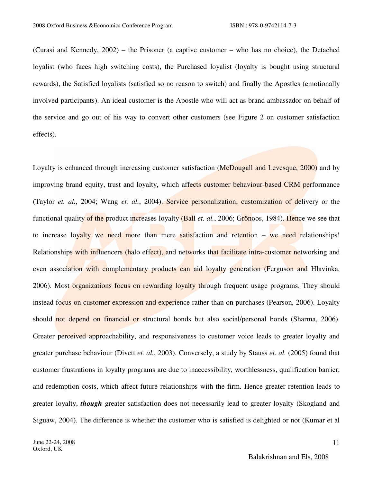(Curasi and Kennedy, 2002) – the Prisoner (a captive customer – who has no choice), the Detached loyalist (who faces high switching costs), the Purchased loyalist (loyalty is bought using structural rewards), the Satisfied loyalists (satisfied so no reason to switch) and finally the Apostles (emotionally involved participants). An ideal customer is the Apostle who will act as brand ambassador on behalf of the service and go out of his way to convert other customers (see Figure 2 on customer satisfaction effects).

Loyalty is enhanced through increasing customer satisfaction (McDougall and Levesque, 2000) and by improving brand equity, trust and loyalty, which affects customer behaviour-based CRM performance (Taylor *et. al.*, 2004; Wang *et. al.*, 2004). Service personalization, customization of delivery or the functional quality of the product increases loyalty (Ball *et. al.*, 2006; Grönoos, 1984). Hence we see that to increase loyalty we need more than mere satisfaction and retention  $-$  we need relationships! Relationships with influencers (halo effect), and networks that facilitate intra-customer networking and even association with complementary products can aid loyalty generation (Ferguson and Hlavinka, 2006). Most organizations focus on rewarding loyalty through frequent usage programs. They should instead focus on customer expression and experience rather than on purchases (Pearson, 2006). Loyalty should not depend on financial or structural bonds but also social/personal bonds (Sharma, 2006). Greater perceived approachability, and responsiveness to customer voice leads to greater loyalty and greater purchase behaviour (Divett *et. al.*, 2003). Conversely, a study by Stauss *et. al.* (2005) found that customer frustrations in loyalty programs are due to inaccessibility, worthlessness, qualification barrier, and redemption costs, which affect future relationships with the firm. Hence greater retention leads to greater loyalty, *though* greater satisfaction does not necessarily lead to greater loyalty (Skogland and Siguaw, 2004). The difference is whether the customer who is satisfied is delighted or not (Kumar et al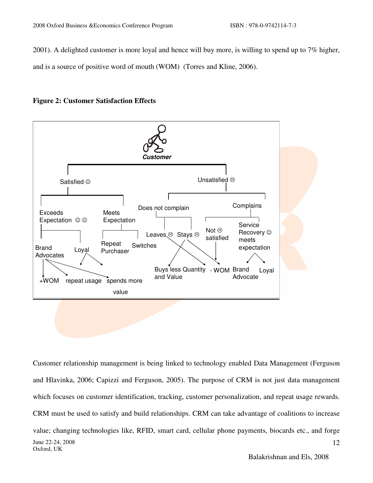2001). A delighted customer is more loyal and hence will buy more, is willing to spend up to 7% higher, and is a source of positive word of mouth (WOM) (Torres and Kline, 2006).





June 22-24, 2008 Oxford, UK 12 Customer relationship management is being linked to technology enabled Data Management (Ferguson and Hlavinka, 2006; Capizzi and Ferguson, 2005). The purpose of CRM is not just data management which focuses on customer identification, tracking, customer personalization, and repeat usage rewards. CRM must be used to satisfy and build relationships. CRM can take advantage of coalitions to increase value; changing technologies like, RFID, smart card, cellular phone payments, biocards etc., and forge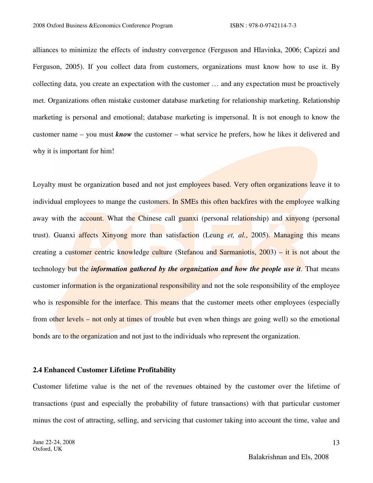alliances to minimize the effects of industry convergence (Ferguson and Hlavinka, 2006; Capizzi and Ferguson, 2005). If you collect data from customers, organizations must know how to use it. By collecting data, you create an expectation with the customer … and any expectation must be proactively met. Organizations often mistake customer database marketing for relationship marketing. Relationship marketing is personal and emotional; database marketing is impersonal. It is not enough to know the customer name – you must *know* the customer – what service he prefers, how he likes it delivered and why it is important for him!

Loyalty must be organization based and not just employees based. Very often organizations leave it to individual employees to mange the customers. In SMEs this often backfires with the employee walking away with the account. What the Chinese call guanxi (personal relationship) and xinyong (personal trust). Guanxi affects Xinyong more than satisfaction (Leung *et, al.*, 2005). Managing this means creating a customer centric knowledge culture (Stefanou and Sarmaniotis, 2003) – it is not about the technology but the *information gathered by the organization and how the people use it*. That means customer information is the organizational responsibility and not the sole responsibility of the employee who is responsible for the interface. This means that the customer meets other employees (especially from other levels – not only at times of trouble but even when things are going well) so the emotional bonds are to the organization and not just to the individuals who represent the organization.

### **2.4 Enhanced Customer Lifetime Profitability**

Customer lifetime value is the net of the revenues obtained by the customer over the lifetime of transactions (past and especially the probability of future transactions) with that particular customer minus the cost of attracting, selling, and servicing that customer taking into account the time, value and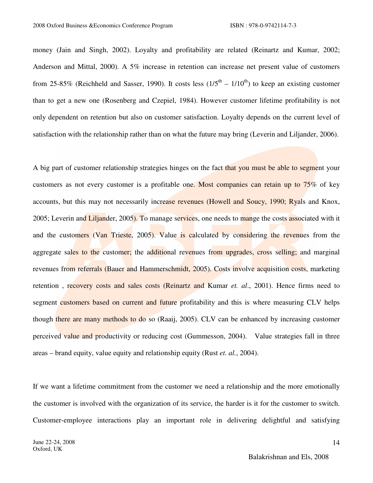money (Jain and Singh, 2002). Loyalty and profitability are related (Reinartz and Kumar, 2002; Anderson and Mittal, 2000). A 5% increase in retention can increase net present value of customers from 25-85% (Reichheld and Sasser, 1990). It costs less  $(1/5<sup>th</sup> - 1/10<sup>th</sup>)$  to keep an existing customer than to get a new one (Rosenberg and Czepiel, 1984). However customer lifetime profitability is not only dependent on retention but also on customer satisfaction. Loyalty depends on the current level of satisfaction with the relationship rather than on what the future may bring (Leverin and Liljander, 2006).

A big part of customer relationship strategies hinges on the fact that you must be able to segment your customers as not every customer is a profitable one. Most companies can retain up to 75% of key accounts, but this may not necessarily increase revenues (Howell and Soucy, 1990; Ryals and Knox, 2005; Leverin and Liljander, 2005). To manage services, one needs to mange the costs associated with it and the customers (Van Trieste, 2005). Value is calculated by considering the revenues from the aggregate sales to the customer; the additional revenues from upgrades, cross selling; and marginal revenues from referrals (Bauer and Hammerschmidt, 2005). Costs involve acquisition costs, marketing retention , recovery costs and sales costs (Reinartz and Kumar *et. al*., 2001). Hence firms need to segment customers based on current and future profitability and this is where measuring CLV helps though there are many methods to do so (Raaij, 2005). CLV can be enhanced by increasing customer perceived value and productivity or reducing cost (Gummesson, 2004). Value strategies fall in three areas – brand equity, value equity and relationship equity (Rust *et. al.*, 2004).

If we want a lifetime commitment from the customer we need a relationship and the more emotionally the customer is involved with the organization of its service, the harder is it for the customer to switch. Customer-employee interactions play an important role in delivering delightful and satisfying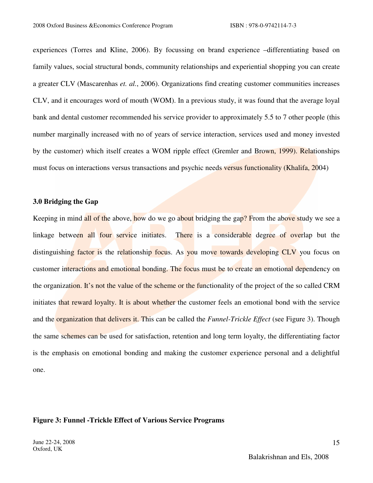experiences (Torres and Kline, 2006). By focussing on brand experience –differentiating based on family values, social structural bonds, community relationships and experiential shopping you can create a greater CLV (Mascarenhas *et. al.*, 2006). Organizations find creating customer communities increases CLV, and it encourages word of mouth (WOM). In a previous study, it was found that the average loyal bank and dental customer recommended his service provider to approximately 5.5 to 7 other people (this number marginally increased with no of years of service interaction, services used and money invested by the customer) which itself creates a WOM ripple effect (Gremler and Brown, 1999). Relationships must focus on interactions versus transactions and psychic needs versus functionality (Khalifa, 2004)

### **3.0 Bridging the Gap**

Keeping in mind all of the above, how do we go about bridging the gap? From the above study we see a linkage between all four service initiates. There is a considerable degree of overlap but the distinguishing factor is the relationship focus. As you move towards developing CLV you focus on customer interactions and emotional bonding. The focus must be to create an emotional dependency on the organization. It's not the value of the scheme or the functionality of the project of the so called CRM initiates that reward loyalty. It is about whether the customer feels an emotional bond with the service and the organization that delivers it. This can be called the *Funnel-Trickle Effect* (see Figure 3). Though the same schemes can be used for satisfaction, retention and long term loyalty, the differentiating factor is the emphasis on emotional bonding and making the customer experience personal and a delightful one.

#### **Figure 3: Funnel -Trickle Effect of Various Service Programs**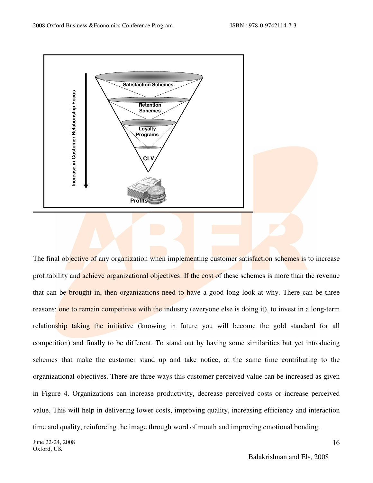

The final objective of any organization when implementing customer satisfaction schemes is to increase profitability and achieve organizational objectives. If the cost of these schemes is more than the revenue that can be brought in, then organizations need to have a good long look at why. There can be three reasons: one to remain competitive with the industry (everyone else is doing it), to invest in a long-term relationship taking the initiative (knowing in future you will become the gold standard for all competition) and finally to be different. To stand out by having some similarities but yet introducing schemes that make the customer stand up and take notice, at the same time contributing to the organizational objectives. There are three ways this customer perceived value can be increased as given in Figure 4. Organizations can increase productivity, decrease perceived costs or increase perceived value. This will help in delivering lower costs, improving quality, increasing efficiency and interaction time and quality, reinforcing the image through word of mouth and improving emotional bonding.

June 22-24, 2008 Oxford, UK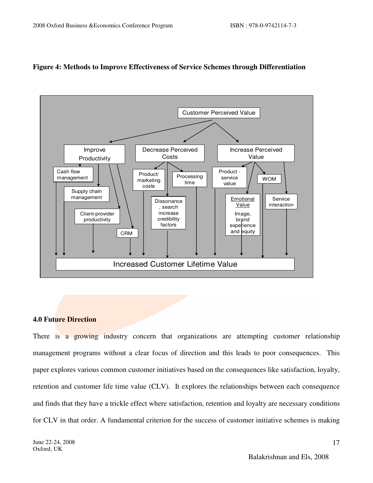

# **Figure 4: Methods to Improve Effectiveness of Service Schemes through Differentiation**

## **4.0 Future Direction**

There is a growing industry concern that organizations are attempting customer relationship management programs without a clear focus of direction and this leads to poor consequences. This paper explores various common customer initiatives based on the consequences like satisfaction, loyalty, retention and customer life time value (CLV). It explores the relationships between each consequence and finds that they have a trickle effect where satisfaction, retention and loyalty are necessary conditions for CLV in that order. A fundamental criterion for the success of customer initiative schemes is making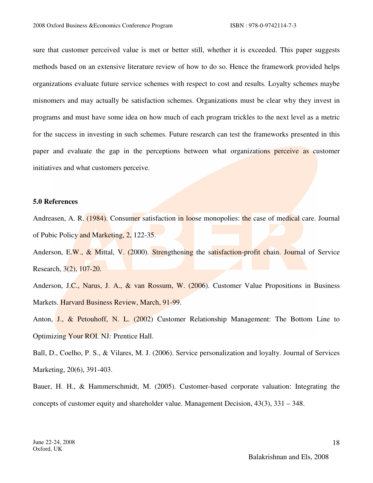sure that customer perceived value is met or better still, whether it is exceeded. This paper suggests methods based on an extensive literature review of how to do so. Hence the framework provided helps organizations evaluate future service schemes with respect to cost and results. Loyalty schemes maybe misnomers and may actually be satisfaction schemes. Organizations must be clear why they invest in programs and must have some idea on how much of each program trickles to the next level as a metric for the success in investing in such schemes. Future research can test the frameworks presented in this paper and evaluate the gap in the perceptions between what organizations perceive as customer initiatives and what customers perceive.

### **5.0 References**

Andreasen, A. R. (1984). Consumer satisfaction in loose monopolies: the case of medical care. Journal of Pubic Policy and Marketing, 2, 122-35.

Anderson, E.W., & Mittal, V. (2000). Strengthening the satisfaction-profit chain. Journal of Service Research, 3(2), 107-20.

Anderson, J.C., Narus, J. A., & van Rossum, W. (2006). Customer Value Propositions in Business Markets. Harvard Business Review, March, 91-99.

Anton, J., & Petouhoff, N. L. (2002) Customer Relationship Management: The Bottom Line to Optimizing Your ROI. NJ*:* Prentice Hall.

Ball, D., Coelho, P. S., & Vilares, M. J. (2006). Service personalization and loyalty. Journal of Services Marketing, 20(6), 391-403.

Bauer, H. H., & Hammerschmidt, M. (2005). Customer-based corporate valuation: Integrating the concepts of customer equity and shareholder value. Management Decision, 43(3), 331 – 348.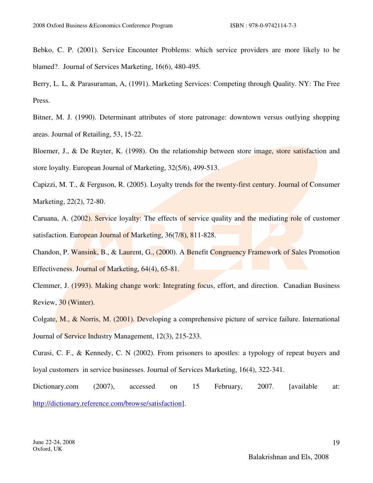Bebko, C. P. (2001). Service Encounter Problems: which service providers are more likely to be blamed?. Journal of Services Marketing, 16(6), 480-495.

Berry, L. L, & Parasuraman, A, (1991). Marketing Services: Competing through Quality. NY: The Free Press.

Bitner, M. J. (1990). Determinant attributes of store patronage: downtown versus outlying shopping areas. Journal of Retailing, 53, 15-22.

Bloemer, J., & De Ruyter, K. (1998). On the relationship between store image, store satisfaction and store loyalty. European Journal of Marketing, 32(5/6), 499-513.

Capizzi, M. T., & Ferguson, R. (2005). Loyalty trends for the twenty-first century. Journal of Consumer Marketing, 22(2), 72-80.

Caruana, A. (2002). Service loyalty: The effects of service quality and the mediating role of customer satisfaction. European Journal of Marketing, 36(7/8), 811-828.

Chandon, P. Wansink, B., & Laurent, G., (2000). A Benefit Congruency Framework of Sales Promotion Effectiveness. Journal of Marketing, 64(4), 65-81.

Clemmer, J. (1993). Making change work: Integrating focus, effort, and direction. Canadian Business Review, 30 (Winter).

Colgate, M., & Norris, M. (2001). Developing a comprehensive picture of service failure. International Journal of Service Industry Management, 12(3), 215-233.

Curasi, C. F., & Kennedy, C. N (2002). From prisoners to apostles: a typology of repeat buyers and loyal customers in service businesses. Journal of Services Marketing, 16(4), 322-341.

Dictionary.com (2007), accessed on 15 February, 2007. [available at: http://dictionary.reference.com/browse/satisfaction].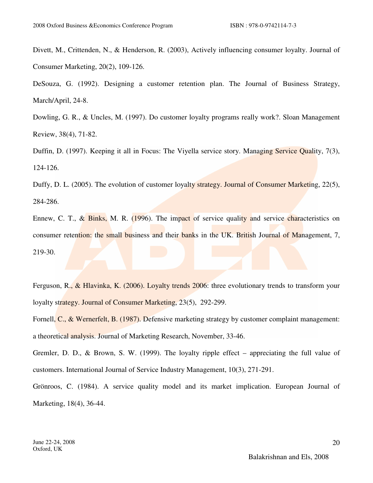Divett, M., Crittenden, N., & Henderson, R. (2003), Actively influencing consumer loyalty. Journal of Consumer Marketing, 20(2), 109-126.

DeSouza, G. (1992). Designing a customer retention plan. The Journal of Business Strategy, March/April, 24-8.

Dowling, G. R., & Uncles, M. (1997). Do customer loyalty programs really work?. Sloan Management Review, 38(4), 71-82.

Duffin, D. (1997). Keeping it all in Focus: The Viyella service story. Managing Service Quality, 7(3), 124-126.

Duffy, D. L. (2005). The evolution of customer loyalty strategy. Journal of Consumer Marketing, 22(5), 284-286.

Ennew, C. T., & Binks, M. R. (1996). The impact of service quality and service characteristics on consumer retention: the small business and their banks in the UK. British Journal of Management, 7, 219-30.

Ferguson, R., & Hlavinka, K. (2006). Loyalty trends 2006: three evolutionary trends to transform your loyalty strategy. Journal of Consumer Marketing, 23(5), 292-299.

Fornell, C., & Wernerfelt, B. (1987). Defensive marketing strategy by customer complaint management: a theoretical analysis. Journal of Marketing Research, November, 33-46.

Gremler, D. D., & Brown, S. W. (1999). The loyalty ripple effect – appreciating the full value of customers. International Journal of Service Industry Management, 10(3), 271-291.

Grönroos, C. (1984). A service quality model and its market implication. European Journal of Marketing, 18(4), 36-44.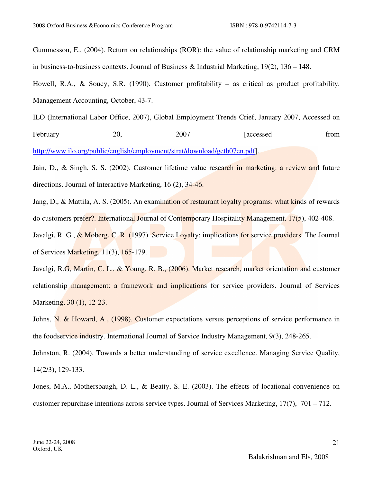Gummesson, E., (2004). Return on relationships (ROR): the value of relationship marketing and CRM in business-to-business contexts. Journal of Business & Industrial Marketing, 19(2), 136 – 148.

Howell, R.A., & Soucy, S.R. (1990). Customer profitability – as critical as product profitability. Management Accounting, October, 43-7.

ILO (International Labor Office, 2007), Global Employment Trends Crief, January 2007, Accessed on February 20, 2007 [accessed from

http://www.ilo.org/public/english/employment/strat/download/getb07en.pdf].

Jain, D., & Singh, S. S. (2002). Customer lifetime value research in marketing: a review and future directions. Journal of Interactive Marketing, 16 (2), 34-46.

Jang, D., & Mattila, A. S. (2005). An examination of restaurant loyalty programs: what kinds of rewards do customers prefer?. International Journal of Contemporary Hospitality Management. 17(5), 402-408. Javalgi, R. G., & Moberg, C. R. (1997). Service Loyalty: implications for service providers. The Journal

of Services Marketing, 11(3), 165-179.

Javalgi, R.G, Martin, C. L., & Young, R. B., (2006). Market research, market orientation and customer relationship management: a framework and implications for service providers. Journal of Services Marketing, 30 (1), 12-23.

Johns, N. & Howard, A., (1998). Customer expectations versus perceptions of service performance in the foodservice industry. International Journal of Service Industry Management*,* 9(3), 248-265.

Johnston, R. (2004). Towards a better understanding of service excellence. Managing Service Quality, 14(2/3), 129-133.

Jones, M.A., Mothersbaugh, D. L., & Beatty, S. E. (2003). The effects of locational convenience on customer repurchase intentions across service types. Journal of Services Marketing, 17(7), 701 – 712.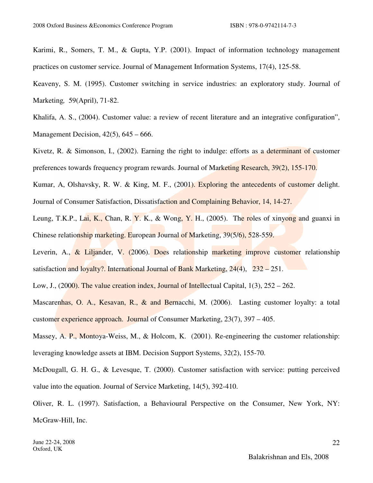Karimi, R., Somers, T. M., & Gupta, Y.P. (2001). Impact of information technology management practices on customer service. Journal of Management Information Systems, 17(4), 125-58.

Keaveny, S. M. (1995). Customer switching in service industries: an exploratory study. Journal of Marketing*,* 59(April), 71-82.

Khalifa, A. S., (2004). Customer value: a review of recent literature and an integrative configuration", Management Decision, 42(5), 645 – 666.

Kivetz, R. & Simonson, I., (2002). Earning the right to indulge: efforts as a determinant of customer preferences towards frequency program rewards. Journal of Marketing Research, 39(2), 155-170.

Kumar, A, Olshavsky, R. W. & King, M. F., (2001). Exploring the antecedents of customer delight. Journal of Consumer Satisfaction, Dissatisfaction and Complaining Behavior, 14, 14-27.

Leung, T.K.P., Lai, K., Chan, R. Y. K., & Wong, Y. H., (2005). The roles of xinyong and guanxi in Chinese relationship marketing. European Journal of Marketing, 39(5/6), 528-559.

Leverin, A., & Liljander, V. (2006). Does relationship marketing improve customer relationship satisfaction and loyalty?. International Journal of Bank Marketing,  $24(4)$ ,  $232 - 251$ .

Low, J., (2000). The value creation index, Journal of Intellectual Capital, 1(3), 252 – 262.

Mascarenhas, O. A., Kesavan, R., & and Bernacchi, M. (2006). Lasting customer loyalty: a total customer experience approach. Journal of Consumer Marketing, 23(7), 397 – 405.

Massey, A. P., Montoya-Weiss, M., & Holcom, K. (2001). Re-engineering the customer relationship: leveraging knowledge assets at IBM. Decision Support Systems, 32(2), 155-70.

McDougall, G. H. G., & Levesque, T. (2000). Customer satisfaction with service: putting perceived value into the equation. Journal of Service Marketing, 14(5), 392-410.

Oliver, R. L. (1997). Satisfaction, a Behavioural Perspective on the Consumer, New York, NY: McGraw-Hill, Inc.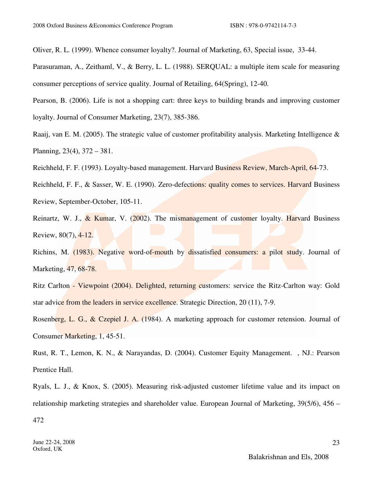Oliver, R. L. (1999). Whence consumer loyalty?. Journal of Marketing, 63, Special issue, 33-44.

Parasuraman, A., Zeithaml, V., & Berry, L. L. (1988). SERQUAL: a multiple item scale for measuring consumer perceptions of service quality. Journal of Retailing, 64(Spring), 12-40.

Pearson, B. (2006). Life is not a shopping cart: three keys to building brands and improving customer loyalty. Journal of Consumer Marketing, 23(7), 385-386.

Raaij, van E. M. (2005). The strategic value of customer profitability analysis. Marketing Intelligence & Planning, 23(4), 372 – 381.

Reichheld, F. F. (1993). Loyalty-based management. Harvard Business Review, March-April, 64-73.

Reichheld, F. F., & Sasser, W. E. (1990). Zero-defections: quality comes to services. Harvard Business Review, September-October, 105-11.

Reinartz, W. J.,  $\&$  Kumar, V. (2002). The mismanagement of customer loyalty. Harvard Business Review, 80(7), 4-12.

Richins, M. (1983). Negative word-of-mouth by dissatisfied consumers: a pilot study. Journal of Marketing, 47, 68-78.

Ritz Carlton - Viewpoint (2004). Delighted, returning customers: service the Ritz-Carlton way: Gold star advice from the leaders in service excellence. Strategic Direction, 20 (11), 7-9.

Rosenberg, L. G., & Czepiel J. A. (1984). A marketing approach for customer retension. Journal of Consumer Marketing, 1, 45-51.

Rust, R. T., Lemon, K. N., & Narayandas, D. (2004). Customer Equity Management. , NJ.: Pearson Prentice Hall.

Ryals, L. J., & Knox, S. (2005). Measuring risk-adjusted customer lifetime value and its impact on relationship marketing strategies and shareholder value. European Journal of Marketing, 39(5/6), 456 –

472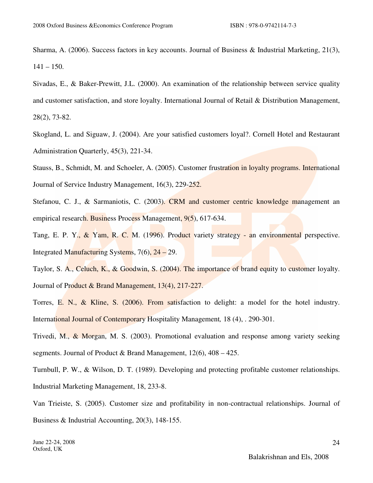Sharma, A. (2006). Success factors in key accounts. Journal of Business & Industrial Marketing, 21(3),  $141 - 150$ .

Sivadas, E., & Baker-Prewitt, J.L. (2000). An examination of the relationship between service quality and customer satisfaction, and store loyalty. International Journal of Retail & Distribution Management, 28(2), 73-82.

Skogland, L. and Siguaw, J. (2004). Are your satisfied customers loyal?. Cornell Hotel and Restaurant Administration Quarterly, 45(3), 221-34.

Stauss, B., Schmidt, M. and Schoeler, A. (2005). Customer frustration in loyalty programs. International Journal of Service Industry Management, 16(3), 229-252.

Stefanou, C. J., & Sarmaniotis, C. (2003). CRM and customer centric knowledge management an empirical research. Business Process Management, 9(5), 617-634.

Tang, E. P. Y., & Yam, R. C. M. (1996). Product variety strategy - an environmental perspective. Integrated Manufacturing Systems, 7(6), 24 – 29.

Taylor, S. A., Celuch, K., & Goodwin, S. (2004). The importance of brand equity to customer loyalty. Journal of Product & Brand Management, 13(4), 217-227.

Torres, E. N., & Kline, S. (2006). From satisfaction to delight: a model for the hotel industry. International Journal of Contemporary Hospitality Management*,* 18 (4), . 290-301.

Trivedi, M., & Morgan, M. S. (2003). Promotional evaluation and response among variety seeking segments. Journal of Product & Brand Management, 12(6), 408 – 425.

Turnbull, P. W., & Wilson, D. T. (1989). Developing and protecting profitable customer relationships. Industrial Marketing Management, 18, 233-8.

Van Trieiste, S. (2005). Customer size and profitability in non-contractual relationships. Journal of Business & Industrial Accounting, 20(3), 148-155.